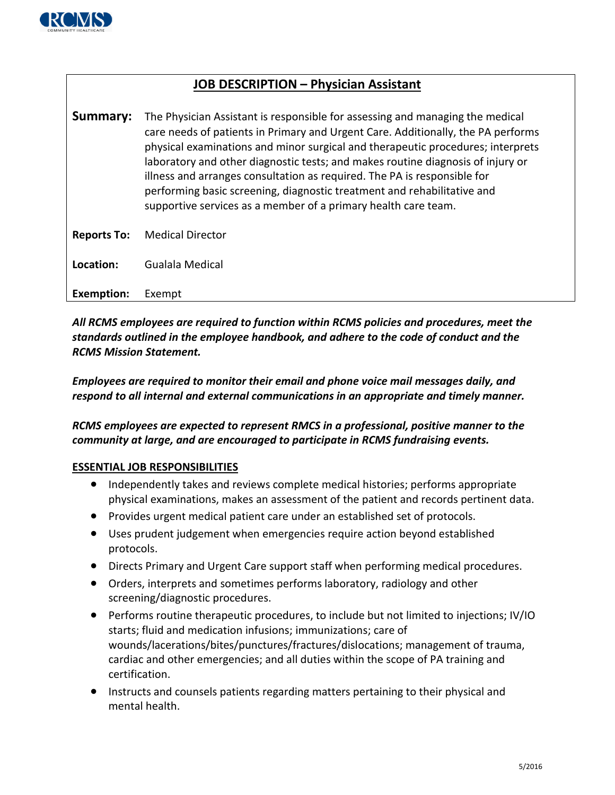

## **JOB DESCRIPTION – Physician Assistant**

| Summary:           | The Physician Assistant is responsible for assessing and managing the medical<br>care needs of patients in Primary and Urgent Care. Additionally, the PA performs<br>physical examinations and minor surgical and therapeutic procedures; interprets<br>laboratory and other diagnostic tests; and makes routine diagnosis of injury or<br>illness and arranges consultation as required. The PA is responsible for<br>performing basic screening, diagnostic treatment and rehabilitative and<br>supportive services as a member of a primary health care team. |
|--------------------|------------------------------------------------------------------------------------------------------------------------------------------------------------------------------------------------------------------------------------------------------------------------------------------------------------------------------------------------------------------------------------------------------------------------------------------------------------------------------------------------------------------------------------------------------------------|
| <b>Reports To:</b> | <b>Medical Director</b>                                                                                                                                                                                                                                                                                                                                                                                                                                                                                                                                          |
| Location:          | Gualala Medical                                                                                                                                                                                                                                                                                                                                                                                                                                                                                                                                                  |
| <b>Exemption:</b>  | Exempt                                                                                                                                                                                                                                                                                                                                                                                                                                                                                                                                                           |

*All RCMS employees are required to function within RCMS policies and procedures, meet the standards outlined in the employee handbook, and adhere to the code of conduct and the RCMS Mission Statement.* 

*Employees are required to monitor their email and phone voice mail messages daily, and respond to all internal and external communications in an appropriate and timely manner.*

*RCMS employees are expected to represent RMCS in a professional, positive manner to the community at large, and are encouraged to participate in RCMS fundraising events.*

## **ESSENTIAL JOB RESPONSIBILITIES**

- Independently takes and reviews complete medical histories; performs appropriate physical examinations, makes an assessment of the patient and records pertinent data.
- Provides urgent medical patient care under an established set of protocols.
- Uses prudent judgement when emergencies require action beyond established protocols.
- Directs Primary and Urgent Care support staff when performing medical procedures.
- Orders, interprets and sometimes performs laboratory, radiology and other screening/diagnostic procedures.
- Performs routine therapeutic procedures, to include but not limited to injections; IV/IO starts; fluid and medication infusions; immunizations; care of wounds/lacerations/bites/punctures/fractures/dislocations; management of trauma, cardiac and other emergencies; and all duties within the scope of PA training and certification.
- Instructs and counsels patients regarding matters pertaining to their physical and mental health.